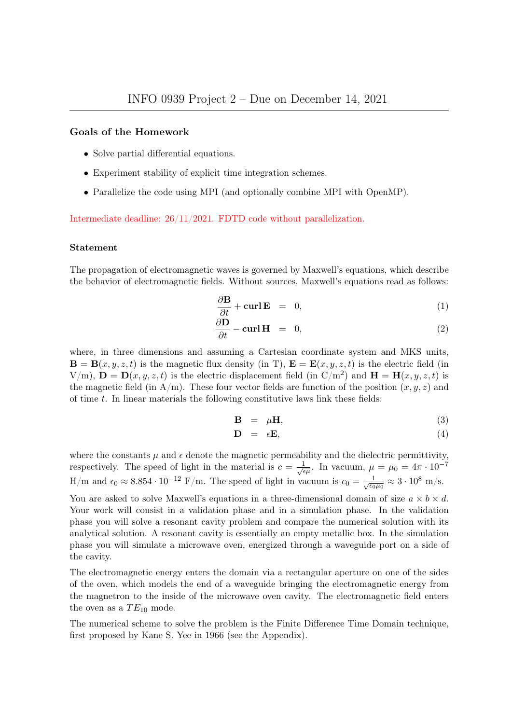#### Goals of the Homework

- Solve partial differential equations.
- Experiment stability of explicit time integration schemes.
- Parallelize the code using MPI (and optionally combine MPI with OpenMP).

Intermediate deadline: 26/11/2021. FDTD code without parallelization.

#### Statement

The propagation of electromagnetic waves is governed by Maxwell's equations, which describe the behavior of electromagnetic fields. Without sources, Maxwell's equations read as follows:

$$
\frac{\partial \mathbf{B}}{\partial t} + \mathbf{curl} \mathbf{E} = 0, \tag{1}
$$

$$
\frac{\partial \mathbf{D}}{\partial t} - \mathbf{curl} \mathbf{H} = 0, \qquad (2)
$$

where, in three dimensions and assuming a Cartesian coordinate system and MKS units,  $\mathbf{B} = \mathbf{B}(x, y, z, t)$  is the magnetic flux density (in T),  $\mathbf{E} = \mathbf{E}(x, y, z, t)$  is the electric field (in  $V(m)$ ,  $\mathbf{D} = \mathbf{D}(x, y, z, t)$  is the electric displacement field (in  $C/m^2$ ) and  $\mathbf{H} = \mathbf{H}(x, y, z, t)$  is the magnetic field (in A/m). These four vector fields are function of the position  $(x, y, z)$  and of time  $t$ . In linear materials the following constitutive laws link these fields:

$$
\mathbf{B} = \mu \mathbf{H},\tag{3}
$$

$$
\mathbf{D} = \epsilon \mathbf{E},\tag{4}
$$

where the constants  $\mu$  and  $\epsilon$  denote the magnetic permeability and the dielectric permittivity, respectively. The speed of light in the material is  $c = \frac{1}{\sqrt{6}}$  $\frac{1}{\epsilon\mu}$ . In vacuum,  $\mu = \mu_0 = 4\pi \cdot 10^{-7}$ H/m and  $\epsilon_0 \approx 8.854 \cdot 10^{-12}$  F/m. The speed of light in vacuum is  $c_0 = \frac{1}{\sqrt{\epsilon_0}}$  $\frac{1}{\epsilon_0\mu_0}\approx 3\cdot 10^8\;\text{m/s}.$ 

You are asked to solve Maxwell's equations in a three-dimensional domain of size  $a \times b \times d$ . Your work will consist in a validation phase and in a simulation phase. In the validation phase you will solve a resonant cavity problem and compare the numerical solution with its analytical solution. A resonant cavity is essentially an empty metallic box. In the simulation phase you will simulate a microwave oven, energized through a waveguide port on a side of the cavity.

The electromagnetic energy enters the domain via a rectangular aperture on one of the sides of the oven, which models the end of a waveguide bringing the electromagnetic energy from the magnetron to the inside of the microwave oven cavity. The electromagnetic field enters the oven as a  $TE_{10}$  mode.

The numerical scheme to solve the problem is the Finite Difference Time Domain technique, first proposed by Kane S. Yee in 1966 (see the Appendix).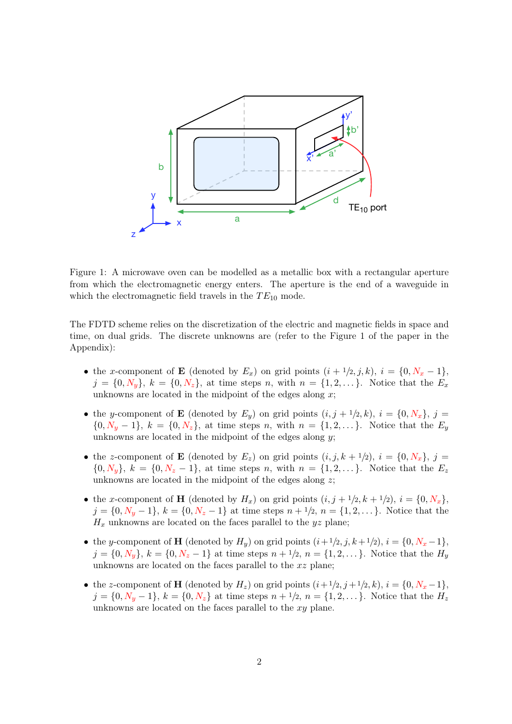

Figure 1: A microwave oven can be modelled as a metallic box with a rectangular aperture from which the electromagnetic energy enters. The aperture is the end of a waveguide in which the electromagnetic field travels in the  $TE_{10}$  mode.

The FDTD scheme relies on the discretization of the electric and magnetic fields in space and time, on dual grids. The discrete unknowns are (refer to the Figure 1 of the paper in the Appendix):

- the x-component of **E** (denoted by  $E_x$ ) on grid points  $(i + 1/2, j, k)$ ,  $i = \{0, N_x 1\}$ ,  $j = \{0, N_y\}, k = \{0, N_z\},\$ at time steps n, with  $n = \{1, 2, \ldots\}$ . Notice that the  $E_x$ unknowns are located in the midpoint of the edges along  $x$ ;
- the y-component of **E** (denoted by  $E_y$ ) on grid points  $(i, j + 1/2, k)$ ,  $i = \{0, N_x\}$ ,  $j =$  ${0, N_y - 1}, k = {0, N_z},$  at time steps n, with  $n = {1, 2, \ldots}.$  Notice that the  $E_y$ unknowns are located in the midpoint of the edges along  $y$ ;
- the z-component of **E** (denoted by  $E_z$ ) on grid points  $(i, j, k + 1/2)$ ,  $i = \{0, N_x\}$ ,  $j =$  ${0, N_y}, k = {0, N_z - 1},$  at time steps n, with  $n = {1, 2, ...}$ . Notice that the  $E_z$ unknowns are located in the midpoint of the edges along  $z$ ;
- the x-component of **H** (denoted by  $H_x$ ) on grid points  $(i, j + 1/2, k + 1/2), i = \{0, N_x\},\$  $j = \{0, N_y - 1\}, k = \{0, N_z - 1\}$  at time steps  $n + \frac{1}{2}, n = \{1, 2, \dots\}$ . Notice that the  $H_x$  unknowns are located on the faces parallel to the yz plane;
- the y-component of **H** (denoted by  $H_y$ ) on grid points  $(i+1/2, j, k+1/2), i = \{0, N_x 1\},$  $j = \{0, N_y\}, k = \{0, N_z - 1\}$  at time steps  $n + \frac{1}{2}, n = \{1, 2, \dots\}$ . Notice that the  $H_y$ unknowns are located on the faces parallel to the xz plane;
- the z-component of **H** (denoted by  $H_z$ ) on grid points  $(i+1/2, j+1/2, k)$ ,  $i = \{0, N_x 1\}$ ,  $j = \{0, N_y - 1\}, k = \{0, N_z\}$  at time steps  $n + \frac{1}{2}, n = \{1, 2, \dots\}$ . Notice that the  $H_z$ unknowns are located on the faces parallel to the xy plane.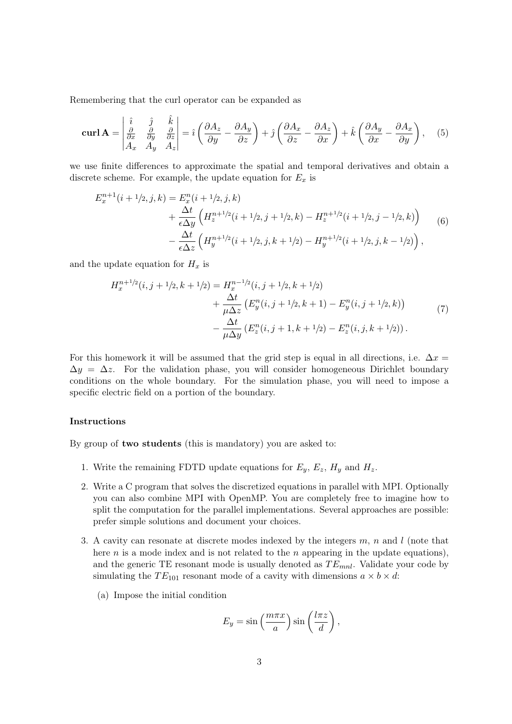Remembering that the curl operator can be expanded as

$$
\mathbf{curl}\,\mathbf{A} = \begin{vmatrix} \hat{i} & \hat{j} & \hat{k} \\ \frac{\partial}{\partial x} & \frac{\partial}{\partial y} & \frac{\partial}{\partial z} \\ A_x & A_y & A_z \end{vmatrix} = \hat{i}\left(\frac{\partial A_z}{\partial y} - \frac{\partial A_y}{\partial z}\right) + \hat{j}\left(\frac{\partial A_x}{\partial z} - \frac{\partial A_z}{\partial x}\right) + \hat{k}\left(\frac{\partial A_y}{\partial x} - \frac{\partial A_x}{\partial y}\right), \quad (5)
$$

we use finite differences to approximate the spatial and temporal derivatives and obtain a discrete scheme. For example, the update equation for  $E_x$  is

$$
E_x^{n+1}(i+1/2, j, k) = E_x^n(i+1/2, j, k)
$$
  
+ 
$$
\frac{\Delta t}{\epsilon \Delta y} \left( H_z^{n+1/2}(i+1/2, j+1/2, k) - H_z^{n+1/2}(i+1/2, j-1/2, k) \right)
$$
  
- 
$$
\frac{\Delta t}{\epsilon \Delta z} \left( H_y^{n+1/2}(i+1/2, j, k+1/2) - H_y^{n+1/2}(i+1/2, j, k-1/2) \right),
$$
 (6)

and the update equation for  $H_x$  is

$$
H_x^{n+1/2}(i, j+1/2, k+1/2) = H_x^{n-1/2}(i, j+1/2, k+1/2)
$$
  
+ 
$$
\frac{\Delta t}{\mu \Delta z} \left( E_y^n(i, j+1/2, k+1) - E_y^n(i, j+1/2, k) \right)
$$
  
- 
$$
\frac{\Delta t}{\mu \Delta y} \left( E_z^n(i, j+1, k+1/2) - E_z^n(i, j, k+1/2) \right).
$$
 (7)

For this homework it will be assumed that the grid step is equal in all directions, i.e.  $\Delta x =$  $\Delta y = \Delta z$ . For the validation phase, you will consider homogeneous Dirichlet boundary conditions on the whole boundary. For the simulation phase, you will need to impose a specific electric field on a portion of the boundary.

#### Instructions

By group of two students (this is mandatory) you are asked to:

- 1. Write the remaining FDTD update equations for  $E_y$ ,  $E_z$ ,  $H_y$  and  $H_z$ .
- 2. Write a C program that solves the discretized equations in parallel with MPI. Optionally you can also combine MPI with OpenMP. You are completely free to imagine how to split the computation for the parallel implementations. Several approaches are possible: prefer simple solutions and document your choices.
- 3. A cavity can resonate at discrete modes indexed by the integers  $m$ ,  $n$  and  $l$  (note that here  $n$  is a mode index and is not related to the  $n$  appearing in the update equations), and the generic TE resonant mode is usually denoted as  $TE_{mnl}$ . Validate your code by simulating the  $TE_{101}$  resonant mode of a cavity with dimensions  $a \times b \times d$ :
	- (a) Impose the initial condition

$$
E_y = \sin\left(\frac{m\pi x}{a}\right)\sin\left(\frac{l\pi z}{d}\right),\,
$$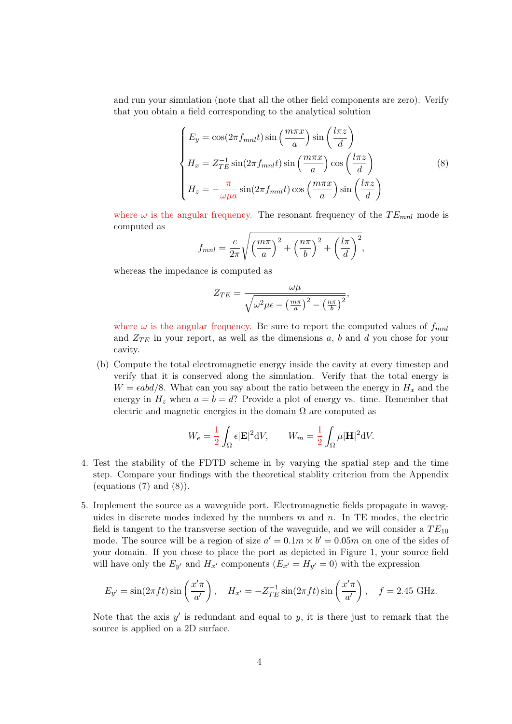and run your simulation (note that all the other field components are zero). Verify that you obtain a field corresponding to the analytical solution

$$
\begin{cases}\nE_y = \cos(2\pi f_{mnl}t) \sin\left(\frac{m\pi x}{a}\right) \sin\left(\frac{l\pi z}{d}\right) \\
H_x = Z_{TE}^{-1} \sin(2\pi f_{mnl}t) \sin\left(\frac{m\pi x}{a}\right) \cos\left(\frac{l\pi z}{d}\right) \\
H_z = -\frac{\pi}{\omega\mu a} \sin(2\pi f_{mnl}t) \cos\left(\frac{m\pi x}{a}\right) \sin\left(\frac{l\pi z}{d}\right)\n\end{cases}
$$
\n(8)

where  $\omega$  is the angular frequency. The resonant frequency of the  $TE_{mnl}$  mode is computed as

$$
f_{mnl} = \frac{c}{2\pi} \sqrt{\left(\frac{m\pi}{a}\right)^2 + \left(\frac{n\pi}{b}\right)^2 + \left(\frac{l\pi}{d}\right)^2},
$$

whereas the impedance is computed as

$$
Z_{TE} = \frac{\omega\mu}{\sqrt{\omega^2\mu\epsilon - \left(\frac{m\pi}{a}\right)^2 - \left(\frac{n\pi}{b}\right)^2}},
$$

where  $\omega$  is the angular frequency. Be sure to report the computed values of  $f_{mnl}$ and  $Z_{TE}$  in your report, as well as the dimensions a, b and d you chose for your cavity.

(b) Compute the total electromagnetic energy inside the cavity at every timestep and verify that it is conserved along the simulation. Verify that the total energy is  $W = \epsilon abd/8$ . What can you say about the ratio between the energy in  $H_x$  and the energy in  $H_z$  when  $a = b = d$ ? Provide a plot of energy vs. time. Remember that electric and magnetic energies in the domain  $\Omega$  are computed as

$$
W_e = \frac{1}{2} \int_{\Omega} \epsilon |\mathbf{E}|^2 \mathrm{d}V, \qquad W_m = \frac{1}{2} \int_{\Omega} \mu |\mathbf{H}|^2 \mathrm{d}V.
$$

- 4. Test the stability of the FDTD scheme in by varying the spatial step and the time step. Compare your findings with the theoretical stablity criterion from the Appendix (equations  $(7)$  and  $(8)$ ).
- 5. Implement the source as a waveguide port. Electromagnetic fields propagate in waveguides in discrete modes indexed by the numbers  $m$  and  $n$ . In TE modes, the electric field is tangent to the transverse section of the waveguide, and we will consider a  $TE_{10}$ mode. The source will be a region of size  $a' = 0.1m \times b' = 0.05m$  on one of the sides of your domain. If you chose to place the port as depicted in Figure 1, your source field will have only the  $E_{y'}$  and  $H_{x'}$  components  $(E_{x'} = H_{y'} = 0)$  with the expression

$$
E_{y'} = \sin(2\pi ft)\sin\left(\frac{x'\pi}{a'}\right), \quad H_{x'} = -Z_{TE}^{-1}\sin(2\pi ft)\sin\left(\frac{x'\pi}{a'}\right), \quad f = 2.45 \text{ GHz}.
$$

Note that the axis  $y'$  is redundant and equal to  $y$ , it is there just to remark that the source is applied on a 2D surface.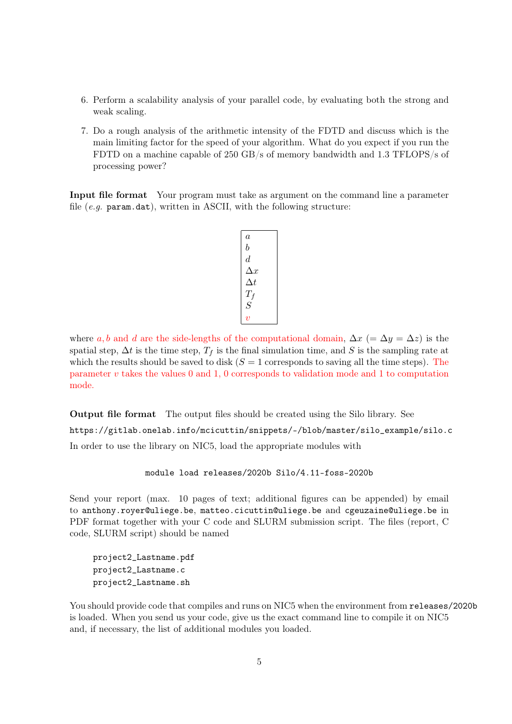- 6. Perform a scalability analysis of your parallel code, by evaluating both the strong and weak scaling.
- 7. Do a rough analysis of the arithmetic intensity of the FDTD and discuss which is the main limiting factor for the speed of your algorithm. What do you expect if you run the FDTD on a machine capable of 250 GB/s of memory bandwidth and 1.3 TFLOPS/s of processing power?

Input file format Your program must take as argument on the command line a parameter file  $(e.g.$  param.dat), written in ASCII, with the following structure:

| $\it a$        |
|----------------|
| b              |
| $\it d$        |
| $\Delta x$     |
| $\Delta t$     |
| $T_f\,$        |
| $\overline{S}$ |
|                |

where a, b and d are the side-lengths of the computational domain,  $\Delta x$  (=  $\Delta y$  =  $\Delta z$ ) is the spatial step,  $\Delta t$  is the time step,  $T_f$  is the final simulation time, and S is the sampling rate at which the results should be saved to disk  $(S = 1$  corresponds to saving all the time steps). The parameter  $v$  takes the values 0 and 1, 0 corresponds to validation mode and 1 to computation mode.

Output file format The output files should be created using the Silo library. See https://gitlab.onelab.info/mcicuttin/snippets/-/blob/master/silo\_example/silo.c In order to use the library on NIC5, load the appropriate modules with

module load releases/2020b Silo/4.11-foss-2020b

Send your report (max. 10 pages of text; additional figures can be appended) by email to anthony.royer@uliege.be, matteo.cicuttin@uliege.be and cgeuzaine@uliege.be in PDF format together with your C code and SLURM submission script. The files (report, C code, SLURM script) should be named

project2\_Lastname.pdf project2\_Lastname.c project2\_Lastname.sh

You should provide code that compiles and runs on NIC5 when the environment from releases/2020b is loaded. When you send us your code, give us the exact command line to compile it on NIC5 and, if necessary, the list of additional modules you loaded.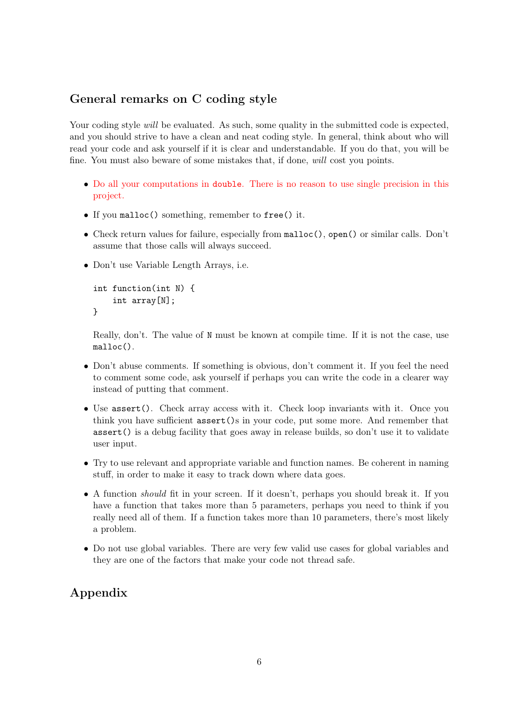# General remarks on C coding style

Your coding style will be evaluated. As such, some quality in the submitted code is expected, and you should strive to have a clean and neat coding style. In general, think about who will read your code and ask yourself if it is clear and understandable. If you do that, you will be fine. You must also beware of some mistakes that, if done, will cost you points.

- Do all your computations in double. There is no reason to use single precision in this project.
- If you malloc() something, remember to free() it.
- Check return values for failure, especially from malloc(), open() or similar calls. Don't assume that those calls will always succeed.
- Don't use Variable Length Arrays, i.e.

```
int function(int N) {
    int array[N];
}
```
Really, don't. The value of N must be known at compile time. If it is not the case, use malloc().

- Don't abuse comments. If something is obvious, don't comment it. If you feel the need to comment some code, ask yourself if perhaps you can write the code in a clearer way instead of putting that comment.
- Use assert(). Check array access with it. Check loop invariants with it. Once you think you have sufficient assert()s in your code, put some more. And remember that assert() is a debug facility that goes away in release builds, so don't use it to validate user input.
- Try to use relevant and appropriate variable and function names. Be coherent in naming stuff, in order to make it easy to track down where data goes.
- A function should fit in your screen. If it doesn't, perhaps you should break it. If you have a function that takes more than 5 parameters, perhaps you need to think if you really need all of them. If a function takes more than 10 parameters, there's most likely a problem.
- Do not use global variables. There are very few valid use cases for global variables and they are one of the factors that make your code not thread safe.

# Appendix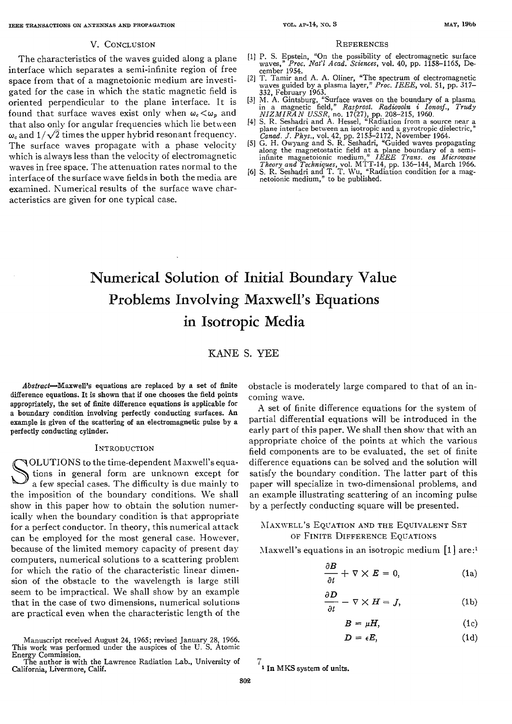#### V. CONCLUSION **REFERENCES**

The characteristics of the waves guided along a plane interface which separates a semi-infinite region of free space from that of a magnetoionic medium are investigated for the case in which the static magnetic field is oriented perpendicular to the plane interface. It is found that surface waves exist only when  $\omega_c < \omega_p$  and that also only for angular frequencies which lie between  $\omega$  and  $1/\sqrt{2}$  times the upper hybrid resonant frequency. The surface waves propagate with a phase velocity which is always less than the velocity of electromagnetic waves in free space. The attenuation rates normal to the interface of the surface wave fields in both the media are examined. Kumerical results of the surface wave characteristics are given for one typical case.

- [I] P. S. Epstein, "On the possibility of electromagnetic surface waves," *Proc. Nat'l dcad. Sciences,* vol. **40,** pp. 1158-1165, De cember 1954.
- [2] T. Tamir and A. A. Oliner, "The spectrum of electromagnetic waves guided by a plasma layer," *Proc. IEEE,* vol. 51, pp. 317-
- 332, February 1963. [3] &I. **A.** Gintsburg, "Surface waves on the boundary of a plasma in a magnetic field," *Rasprost. Radwvoln i Ionosf., Trudy*
- *NIZMIRAN USSR*, no. 17<sup>7</sup>(27), pp. 208-215, 1960.<br>
[4] S. R. Seshadri and A. Hessel, "Radiation from a source near a plane interface between an isotropic and a gyrotropic dielectric,"
- *Canad. J. Phys., vol.* 42, pp. 2153-2172, November 1964.<br>
[5] G. H. Owyang and S. R. Seshadri, "Guided waves propagating along the magnetostatic field at a plane boundary of a sem infinite magnetoionic medium," *IEEE Trans. on Miomave*
- *Theory and Techniques, vol. MTT-14, pp. 136–144, March 1966.* [6] S. R. Seshadri and T. T. Wu, "Radiation condition for a magnetoionic medium," to be published.

# Numerical Solution of Initial Boundary Value Problems Involving Maxwell's Equations in Isotropic Media

### KANE *S.* YEE

Abstracf-Maxwell's equations are replaced by a set **of** finite difference equations. It is shown that if one chooses the field points appropriately, the set of finite difference equations is applicable for a boundary condition involving perfectly conducting surfaces. An example is given **of** the scattering **of an** electromagnetic pulse by a perfectly conducting cylinder.

#### **INTRODUCTION**

 $\sum_{a}^{OLU}$ OLUTIONS to the time-dependent Maxwell's equations in general form are unknown except for a few special cases. The difficulty is due mainly to the imposition of the boundary conditions. We shall show in this paper how to obtain the solution numerically when the boundary condition is that appropriate for a perfect conductor. In theory, this numerical attack can be employed for the most general case. However, because of the limited memory capacity of present day computers, numerical solutions to a scattering problem for which the ratio of the characteristic linear dimension of the obstacle to the wavelength is large still seem to be impractical. We shall show by an example that in the case of two dimensions, numerical solutions are practical even when the characteristic length of the

Manuscript received August 24, 1965; revised January 28, 1966. This **work** was performed under the auspices of the **U.** S. Atomic Energy Commission.

obstacle is moderately large compared to that of an incoming wave.

A set of finite difference equations for the system of partial differential equations will be introduced in the early part of this paper. We shall then show that with an appropriate choice of the points at which the various field components are to be evaluated, the set of finite difference equations can be solved and the solution will satisfy the boundary condition. The latter part of this paper will specialize in two-dimensional problems, and an example illustrating scattering of an incoming pulse by a perfectly conducting square will be presented.

#### MAXWELL'S EQUATION AND THE EQUIVALENT SET OF FINITE DIFFERENCE EQUATIONS

Maxwell's equations in an isotropic medium  $[1]$  are:<sup>1</sup>

$$
\frac{\partial B}{\partial t} + \nabla \times E = 0, \qquad (1a)
$$

$$
\frac{\partial D}{\partial t} - \nabla \times H = J,\tag{1b}
$$

$$
B = \mu H. \tag{1c}
$$

$$
D = \epsilon E, \tag{1d}
$$

 $\frac{7}{1}$  In MKS system of units.

The author is with the Lawrence Radiation Lab., University of  $\tau$  **1** In MKS system of units. **California, Livermore, Calif.**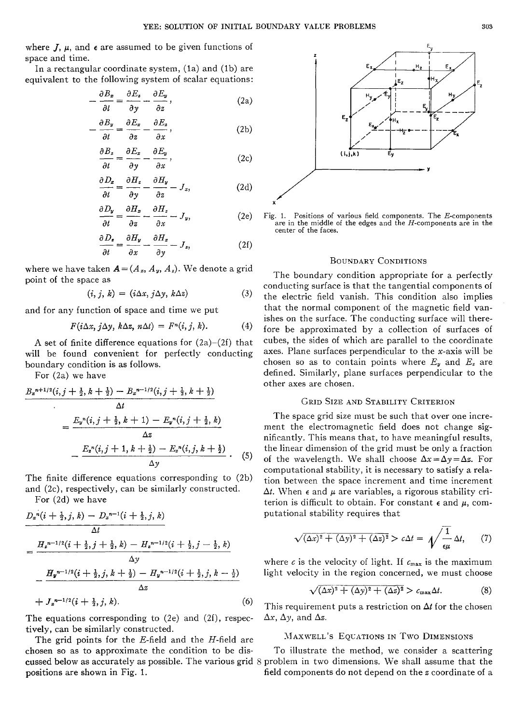where  $J$ ,  $\mu$ , and  $\epsilon$  are assumed to be given functions of space and time.

In a rectangular coordinate system, (1a) and (1b) are equivalent to the following system of scalar equations:

$$
-\frac{\partial B_z}{\partial t} = \frac{\partial E_z}{\partial y} - \frac{\partial E_y}{\partial z}, \qquad (2a)
$$

$$
-\frac{\partial B_y}{\partial t} = \frac{\partial E_x}{\partial z} - \frac{\partial E_z}{\partial x},\qquad(2b)
$$

$$
\frac{\partial B_z}{\partial t} = \frac{\partial E_x}{\partial y} - \frac{\partial E_y}{\partial x},\qquad(2c)
$$

$$
\frac{\partial D_z}{\partial t} = \frac{\partial H_z}{\partial y} - \frac{\partial H_y}{\partial z} - J_z, \tag{2d}
$$

$$
\frac{\partial D_y}{\partial t} = \frac{\partial H_z}{\partial z} - \frac{\partial H_z}{\partial x} - J_y,\tag{2e}
$$

$$
\frac{\partial D_z}{\partial t} = \frac{\partial H_y}{\partial x} - \frac{\partial H_z}{\partial y} - J_z,\tag{2f}
$$

where we have taken  $A = (A_x, A_y, A_z)$ . We denote a grid point of the space as

$$
(i, j, k) = (i\Delta x, j\Delta y, k\Delta z)
$$
 (3)

and for any function of space and time we put

$$
F(i\Delta x, j\Delta y, k\Delta z, n\Delta t) = F^{n}(i, j, k).
$$
 (4)

A set of finite difference equations for  $(2a)-(2f)$  that will be found convenient for perfectly conducting boundary condition is as follows.

For (2a) we have

For (2a) we have  
\n
$$
B_{z}^{n+1/2}(i, j + \frac{1}{2}, k + \frac{1}{2}) - B_{z}^{n-1/2}(i, j + \frac{1}{2}, k + \frac{1}{2})
$$
\n
$$
= \frac{E_{y}^{n}(i, j + \frac{1}{2}, k + 1) - E_{y}^{n}(i, j + \frac{1}{2}, k)}{\Delta z}
$$
\n
$$
- \frac{E_{z}^{n}(i, j + 1, k + \frac{1}{2}) - E_{z}^{n}(i, j, k + \frac{1}{2})}{\Delta y} \qquad (5)
$$

The finite difference equations corresponding to (2b) and  $(2c)$ , respectively, can be similarly constructed. For (2d) we have

For (2d) we have  
\n
$$
D_x{}^n(i + \frac{1}{2}, j, k) - D_x{}^{n-1}(i + \frac{1}{2}, j, k)
$$
\n
$$
\Delta t
$$
\n
$$
= \frac{H_x{}^{n-1/2}(i + \frac{1}{2}, j + \frac{1}{2}, k) - H_x{}^{n-1/2}(i + \frac{1}{2}, j - \frac{1}{2}, k)}{\Delta y}
$$
\n
$$
- \frac{H_y{}^{n-1/2}(i + \frac{1}{2}, j, k + \frac{1}{2}) - H_y{}^{n-1/2}(i + \frac{1}{2}, j, k - \frac{1}{2})}{\Delta z}
$$
\n
$$
+ J_x{}^{n-1/2}(i + \frac{1}{2}, j, k).
$$
\n(6)

The equations corresponding to (2e) and (2f), respectively, can be similarly constructed.

The grid points for the E-field and the H-field are chosen so as to approximate the condition to be dispositions are shown in Fig. 1.



Fig. 1. Positions of various field components. The  $E$ -components are in the middle of the edges and the  $H$ -components are in the center of the faces.

#### BOUNDARY CONDITIONS

The boundary condition appropriate for a perfectly conducting surface is that the tangential components of the electric field vanish. This condition also implies that the normal component of the magnetic field vanishes on the surface. The conducting surface will therefore be approximated by a collection of surfaces of cubes, the sides of which are parallel to the coordinate axes. Plane surfaces perpendicular to the  $x$ -axis will be chosen so as to contain points where  $E_y$  and  $E_z$  are defined. Similarly, plane surfaces perpendicular to the other axes are chosen.

#### GRID SIZE AND STABILITY CRITERION

The space grid size must be such that over one increment the electromagnetic field does not change significantly. This means that, to have meaningful results, the linear dimension of the grid must be only a fraction of the wavelength. We shall choose  $\Delta x = \Delta y = \Delta z$ . For computational stability, it is necessary to satisfy a relation between the space increment and time increment  $\Delta t$ . When  $\epsilon$  and  $\mu$  are variables, a rigorous stability criterion is difficult to obtain. For constant  $\epsilon$  and  $\mu$ , computational stability requires that

$$
\sqrt{(\Delta x)^2 + (\Delta y)^2 + (\Delta z)^2} > c\Delta t = \sqrt{\frac{1}{\epsilon\mu}} \Delta t, \qquad (7)
$$

where c is the velocity of light. If  $c_{\text{max}}$  is the maximum light velocity in the region concerned, we must choose

$$
\sqrt{(\Delta x)^2 + (\Delta y)^2 + (\Delta z)^2} > c_{\max} \Delta t. \tag{8}
$$

This requirement puts a restriction on  $\Delta t$  for the chosen  $\Delta x$ ,  $\Delta y$ , and  $\Delta z$ .

#### MAXWELL'S EQUATIONS IN TWO DIMENSIONS

cussed below as accurately as possible. The various grid  $8$  problem in two dimensions. We shall assume that the To illustrate the method, me consider a scattering field components do not depend on the *z* coordinate of a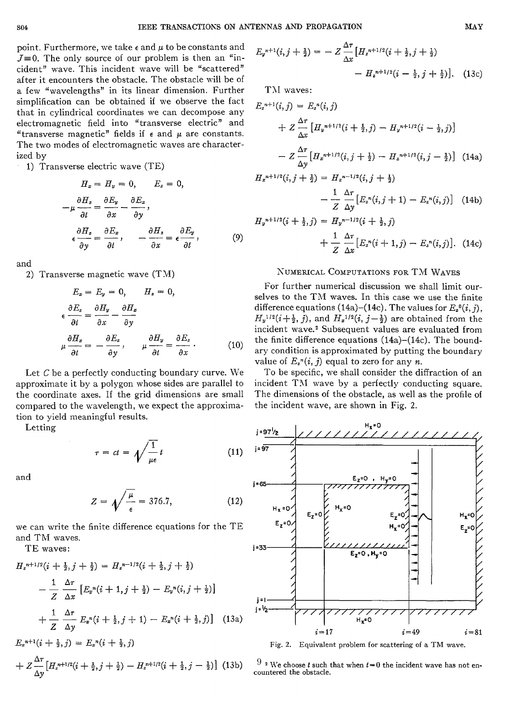point. Furthermore, we take *E* and *p* to be constants and  $J=0$ . The only source of our problem is then an "incident" wave. This incident wave will be "scattered" after it encounters the obstacle. The obstacle will be of a few "wavelengths" in its linear dimension. Further simplification can be obtained if we observe the fact that in cylindrical coordinates we can decompose any electromagnetic field into "transverse electric" and "transverse magnetic" fields if  $\epsilon$  and  $\mu$  are constants. The two modes of electromagnetic waves are characterized by

1) Transverse electric wave (TE)

$$
H_x = H_y = 0, \qquad E_z = 0,
$$
  

$$
-\mu \frac{\partial H_z}{\partial t} = \frac{\partial E_y}{\partial x} - \frac{\partial E_z}{\partial y},
$$
  

$$
\epsilon \frac{\partial H_z}{\partial y} = \frac{\partial E_x}{\partial t}, \qquad -\frac{\partial H_z}{\partial x} = \epsilon \frac{\partial E_y}{\partial t}, \qquad (9)
$$

and

2) Transverse magnetic wave (TM)

$$
E_x = E_y = 0, \qquad H_z = 0,
$$
  
\n
$$
\epsilon \frac{\partial E_z}{\partial t} = \frac{\partial H_y}{\partial x} - \frac{\partial H_x}{\partial y}
$$
  
\n
$$
\mu \frac{\partial H_z}{\partial t} = -\frac{\partial E_z}{\partial y}, \qquad \mu \frac{\partial H_y}{\partial t} = \frac{\partial E_z}{\partial x}.
$$
 (10)

Let  $C$  be a perfectly conducting boundary curve. We approximate it by a polygon whose sides are parallel to the coordinate axes. If the grid dimensions are small compared to the wavelength, we expect the approximation to yield meaningful results. -

Letting

$$
\tau = ct = \sqrt{\frac{1}{\mu \epsilon}} t \tag{11}
$$

and

$$
Z = \sqrt{\frac{\mu}{\epsilon}} = 376.7, \tag{12}
$$

we can write the finite difference equations for the TE and TM waves.

TE waves:

$$
H_{z}^{n+1/2}(i + \frac{1}{2}, j + \frac{1}{2}) = H_{z}^{n-1/2}(i + \frac{1}{2}, j + \frac{1}{2})
$$
\n
$$
- \frac{1}{Z} \frac{\Delta \tau}{\Delta x} \left[ E_{y}^{n}(i + 1, j + \frac{1}{2}) - E_{y}^{n}(i, j + \frac{1}{2}) \right]
$$
\n
$$
+ \frac{1}{Z} \frac{\Delta \tau}{\Delta y} E_{z}^{n}(i + \frac{1}{2}, j + 1) - E_{z}^{n}(i + \frac{1}{2}, j) \right]
$$
\n
$$
= 17 \qquad i = 49 \qquad i = 81
$$
\n
$$
E_{z}^{n+1}(i + \frac{1}{2}, j) = E_{z}^{n}(i + \frac{1}{2}, j)
$$
\n
$$
+ Z \frac{\Delta \tau}{\lambda \tau} \left[ H_{z}^{n+1/2}(i + \frac{1}{2}, j + \frac{1}{2}) - H_{z}^{n+1/2}(i + \frac{1}{2}, j - \frac{1}{2}) \right] (13b) \qquad \begin{array}{c} 9 \text{ a } \text{We choose } i \text{ such that when } i = 0 \text{ the incident wave has not en-} \\ 9 \text{ a } \text{We choose } i \text{ such that when } i = 0 \text{ the incident wave has not en-} \end{array}
$$

$$
+ Z \frac{\Delta \tau}{\Delta y} \left[ H_z^{n+1/2} (i + \frac{1}{2}, j + \frac{1}{2}) - H_z^{n+1/2} (i + \frac{1}{2}, j - \frac{1}{2}) \right] (13b)
$$

$$
E_y^{n+1}(i,j+\frac{1}{2}) = -Z \frac{\Delta \tau}{\Delta x} \left[ H_z^{n+1/2}(i+\frac{1}{2},j+\frac{1}{2}) - H_z^{n+1/2}(i-\frac{1}{2},j+\frac{1}{2}) \right]. \tag{13c}
$$

TM waves:

$$
E_{z}^{n+1}(i,j) = E_{z}^{n}(i,j)
$$
  
+  $Z \frac{\Delta \tau}{\Delta x} [H_{y}^{n+1/2}(i + \frac{1}{2},j) - H_{y}^{n+1/2}(i - \frac{1}{2},j)]$   
-  $Z \frac{\Delta \tau}{\Delta y} [H_{z}^{n+1/2}(i,j + \frac{1}{2}) - H_{z}^{n+1/2}(i,j - \frac{1}{2})]$  (14a)  
 $H_{z}^{n+1/2}(i, j + \frac{1}{2}) = H_{z}^{n-1/2}(i, j + \frac{1}{2})$ 

$$
H_x^{n+1/2}(i, j + \frac{1}{2}) = H_x^{n-1/2}(i, j + \frac{1}{2})
$$
  

$$
- \frac{1}{Z} \frac{\Delta \tau}{\Delta y} \left[ E_z^n(i, j + 1) - E_z^n(i, j) \right] \quad (14b)
$$

$$
H_y^{n+1/2}(i + \frac{1}{2}, j) = H_y^{n-1/2}(i + \frac{1}{2}, j)
$$
  
+ 
$$
\frac{1}{Z} \frac{\Delta \tau}{\Delta x} [E_z^n(i + 1, j) - E_z^n(i, j)]. \quad (14c)
$$

$$
Z \Delta x
$$

#### KUMERICAL COMPUTATIOMS **FOR** TXI WAVES

For further numerical discussion we shall limit ourselves to the TM waves. In this case we use the finite difference equations (14a)-(14c). The values for  $E_z^0(i, j)$ ,  $H_y^{1/2}(i+\frac{1}{2}, j)$ , and  $H_x^{1/2}(i, j-\frac{1}{2})$  are obtained from the incident wave.2 Subsequent values are evaluated from the finite difference equations (14a)-(14c). The boundary condition is approximated by putting the boundary value of  $E_z^n(i, j)$  equal to zero for any *n*.

To be specific, we shall consider the diffraction of an incident TM wave by a perfectly conducting square. The dimensions of the obstacle, as well as the profile of the incident wave, are shown in Fig. 2.



Fig. 2. Equivalent problem for scattering of a TM wave.

countered the obstacle.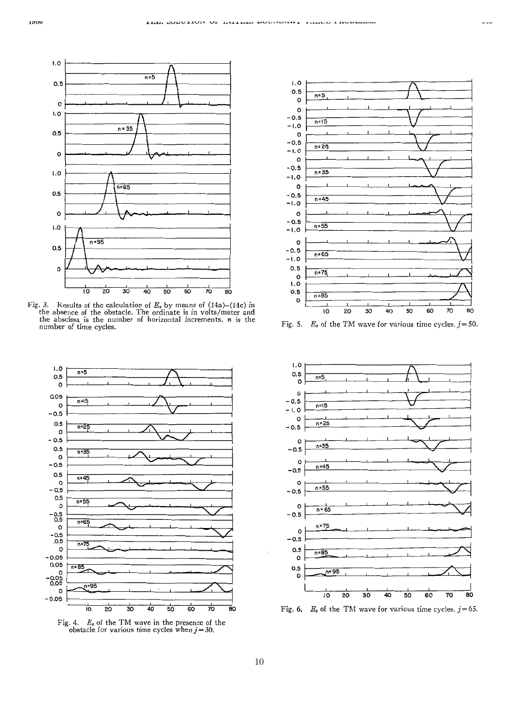

Fig. 3. Results of the calculation of  $E_z$  by means of  $(14a)$ - $(14c)$  in the absence of the obstacle. The ordinate is in volts/meter and the abscissa is the number **of** horizontal increments. *n* is the number of time cycles.



Fig. 4.  $E_z$  of the TM wave in the presence of the obstacle for various time cycles when  $j=30$ .



Fig. 5.  $E_z$  of the TM wave for various time cycles.  $j = 50$ .



Fig. 6.  $E_z$  of the TM wave for various time cycles.  $j=65$ .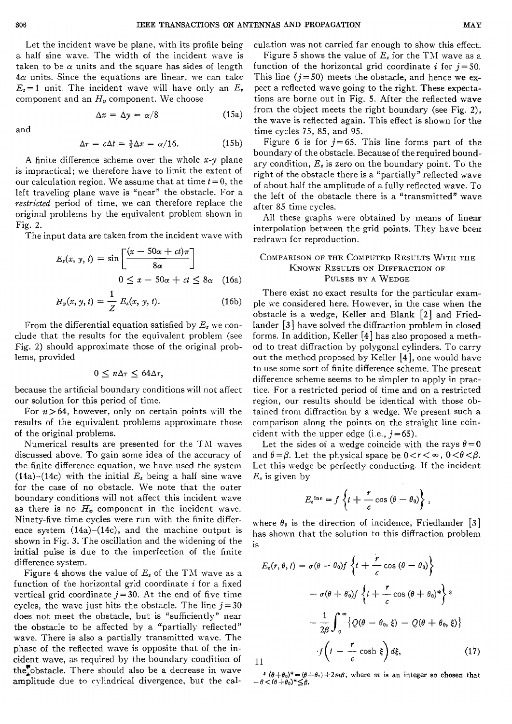Let the incident wave be plane, with its profile being a half sine wave. The width of the incident wave is taken to be  $\alpha$  units and the square has sides of length  $4\alpha$  units. Since the equations are linear, we can take  $E_z = 1$  unit. The incident wave will have only an  $E_z$ component and an  $H_u$  component. We choose

 $\Delta x = \Delta y = \alpha/8$  (15a)

and

$$
\Delta \tau = c \Delta t = \frac{1}{2} \Delta x = \alpha/16. \tag{15b}
$$

A finite difference scheme over the whole  $x-y$  plane is impractical; we therefore have to limit the extent of our calculation region. We assume that at time  $t = 0$ , the left traveling plane wave is "near" the obstacle. For a *restricted* period of time, we can therefore replace the original problems by the equivalent problem shoxn in Fig. 2.

The input data are taken from the incident wave with  
\n
$$
E_z(x, y, t) = \sin\left[\frac{(x - 50\alpha + ct)\pi}{8\alpha}\right]
$$
\n
$$
0 \le x - 50\alpha + ct \le 8\alpha \quad (16a)
$$

$$
0 \leq x - 50\alpha + ct \leq 8\alpha \quad \text{(10a)}
$$
\n
$$
H_y(x, y, t) = \frac{1}{Z} E_z(x, y, t). \tag{16b}
$$

From the differential equation satisfied by  $E<sub>z</sub>$  we conclude that the results for the equivalent problem (see Fig. 2) should approximate those of the original problems, provided

$$
0\leq n\Delta\tau\leq 64\Delta\tau,
$$

because the artificial boundary conditions will not affect our solution for this period of time.

For  $n>64$ , however, only on certain points will the results of the equivalent problems approximate those of the original problems.

Numerical results are presented for the ThI waves discussed above. To gain some idea of the accuracy of the finite difference equation, we have used the system (14a)-(14c) with the initial  $E<sub>z</sub>$  being a half sine wave for the case of no obstacle. We note that the outer boundary conditions will not affect this incident wave as there is no  $H_x$  component in the incident wave. Ninety-five time cycles were run with the finite difference system  $(14a)$ – $(14c)$ , and the machine output is shown in Fig. 3. The oscillation and the widening of the initial pulse is due to the imperfection of the finite difference system.

Figure 4 shows the value of  $E_z$  of the TM wave as a function of the horizontal grid coordinate *i* for a fixed vertical grid coordinate  $j = 30$ . At the end of five time cycles, the wave just hits the obstacle. The line  $j=30$ does not meet the obstacle, but is "sufficiently" near the obstacle to be affected by a "partially reflected" wave. There is also a partially transmitted wave. The phase of the reflected wave is opposite that of the incident wave, as required by the boundary condition of the obstacle. There should also be a decrease in wave amplitude due to cylindrical divergence, but the calculation was not carried far enough to show this effect.

Figure 5 shows the value of *E,* for the TAI wave as a function of the horizontal grid coordinate *i* for  $j = 50$ . This line  $(j = 50)$  meets the obstacle, and hence we expect a reflected wave going to the right. These expectations are borne out in Fig. 5. After the reflected wave from the object meets the right boundary (see Fig. 21, the wave is reflected again. This effect is shown for the time cycles 75, 85, and 95.

Figure 6 is for  $j=65$ . This line forms part of the boundary of the obstacle. Because of the required bound-. ary condition,  $E_z$  is zero on the boundary point. To the right of the obstacle there is a "partially" reflected wave of about half the amplitude of a fully reflected wave. To the left of the obstacle there is a "transmitted" wave after 85 time cycles.

All these graphs were obtained by means of linear interpolation between the grid points. They have been redrawn for reproduction.

#### COMPARISON OF THE COMPUTED RESULTS WITH THE KNOWN RESULTS ON DIFFRACTION OF PULSES BY **A** WEDGE

There exist no exact results for the particular example we considered here. However, in the case when the obstacle is a wedge, Keller and Blank [2] and Friedlander [3] have solved the diffraction problem in closed forms. In addition, Keller  $[4]$  has also proposed a method to treat diffraction by polygonal cylinders. To carry out the method proposed by Keller [4], one would have to use some sort of finite difference scheme. The present difference scheme seems to be simpler to apply in practice. For a restricted period of time and on a restricted region, our results should be identical with those obtained from diffraction by a wedge. We present such a comparison along the points on the straight line coincident with the upper edge (i.e.,  $j = 65$ ).

Let the sides of a wedge coincide with the rays  $\theta = 0$ and  $\theta = \beta$ . Let the physical space be  $0 < r < \infty$ ,  $0 < \theta < \beta$ . Let this wedge be perfectly conducting. If the incident  $E_z$  is given by

$$
E_z^{\text{inc}} = f\left\{t + \frac{r}{c}\cos\left(\theta - \theta_0\right)\right\},\,
$$

where  $\theta_0$  is the direction of incidence, Friedlander [3] has shown that the solution to this diffraction problem is

$$
E_z(r, \theta, t) = \sigma(\theta - \theta_0) f \left\{ t + \frac{r}{c} \cos (\theta - \theta_0) \right\}
$$

$$
- \sigma(\theta + \theta_0) f \left\{ t + \frac{r}{c} \cos (\theta + \theta_0)^* \right\}^3
$$

$$
- \frac{1}{2\beta} \int_0^\infty \left\{ Q(\theta - \theta_0, \xi) - Q(\theta + \theta_0, \xi) \right\}
$$

$$
\int_0^t \left( t - \frac{r}{c} \cosh \xi \right) d\xi, \tag{17}
$$

11

 $-\beta<(\theta+\theta_0)^*\leq\beta.$  $\theta + \theta_0$ <sup>\*</sup> =  $(\theta + \theta_0) + 2m\beta$ ; where *m* is an integer so chosen that